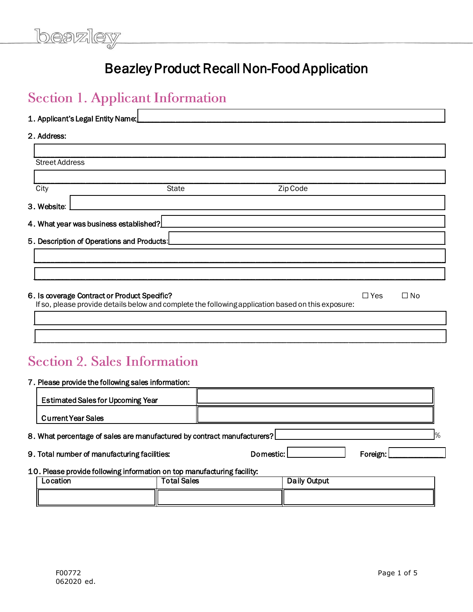# Beazley Product Recall Non-Food Application

# Section 1. Applicant Information

Ē

| 1. Applicant's Legal Entity Name:            |                                                                                                    |          |            |           |
|----------------------------------------------|----------------------------------------------------------------------------------------------------|----------|------------|-----------|
| 2. Address:                                  |                                                                                                    |          |            |           |
|                                              |                                                                                                    |          |            |           |
| <b>Street Address</b>                        |                                                                                                    |          |            |           |
|                                              |                                                                                                    |          |            |           |
| City                                         | <b>State</b>                                                                                       | Zip Code |            |           |
| 3. Website:                                  |                                                                                                    |          |            |           |
| 4. What year was business established?       |                                                                                                    |          |            |           |
| 5. Description of Operations and Products:   |                                                                                                    |          |            |           |
|                                              |                                                                                                    |          |            |           |
|                                              |                                                                                                    |          |            |           |
| 6. Is coverage Contract or Product Specific? | If so, please provide details below and complete the following application based on this exposure: |          | $\Box$ Yes | $\Box$ No |

\_\_\_\_\_\_\_\_\_\_\_\_\_\_\_\_\_\_\_\_\_\_\_\_\_\_\_\_\_\_\_\_\_\_\_\_\_\_\_\_\_\_\_\_\_\_\_\_\_\_\_\_\_\_\_\_\_\_\_\_\_\_\_\_\_\_\_\_\_\_\_\_\_\_\_\_\_\_\_\_\_\_\_\_\_\_\_\_\_\_\_\_\_\_\_\_\_\_\_\_\_\_\_\_\_\_

\_\_\_\_\_\_\_\_\_\_\_\_\_\_\_\_\_\_\_\_\_\_\_\_\_\_\_\_\_\_\_\_\_\_\_\_\_\_\_\_\_\_\_\_\_\_\_\_\_\_\_\_\_\_\_\_\_\_\_\_\_\_\_\_\_\_\_\_\_\_\_\_\_\_\_\_\_\_\_\_\_\_\_\_\_\_\_\_\_\_\_\_\_\_\_\_\_\_\_\_\_\_\_\_\_\_

# **Section 2. Sales Information**

#### 7. Please provide the following sales information:

|                                              | <b>Estimated Sales for Upcoming Year</b>                                |                    |             |                     |          |   |
|----------------------------------------------|-------------------------------------------------------------------------|--------------------|-------------|---------------------|----------|---|
|                                              | <b>Current Year Sales</b>                                               |                    |             |                     |          |   |
|                                              | 8. What percentage of sales are manufactured by contract manufacturers? |                    |             |                     |          | ℅ |
| 9. Total number of manufacturing facilities: |                                                                         |                    | Domestic: I |                     | Foreign: |   |
|                                              | 10. Please provide following information on top manufacturing facility: |                    |             |                     |          |   |
|                                              | Location                                                                | <b>Total Sales</b> |             | <b>Daily Output</b> |          |   |
|                                              |                                                                         |                    |             |                     |          |   |

٦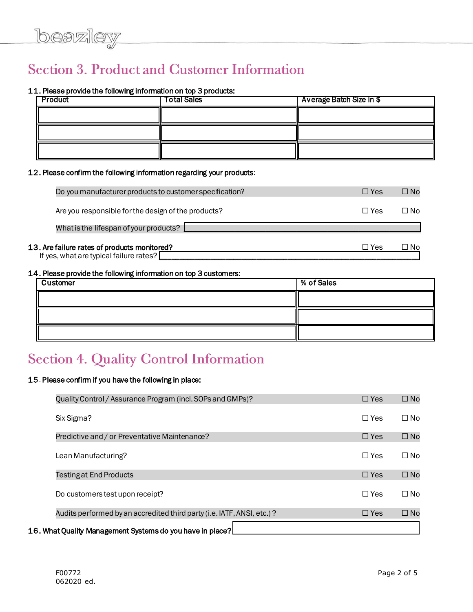# **Section 3. Product and Customer Information**

### 11. Please provide the following information on top 3 products:

| Product | <b>Total Sales</b> | <b>Average Batch Size in \$</b> |
|---------|--------------------|---------------------------------|
|         |                    |                                 |
|         |                    |                                 |
|         |                    |                                 |

#### 12. Please confirm the following information regarding your products:

| Do you manufacturer products to customer specification?                                 | $\Box$ Yes | $\square$ No |
|-----------------------------------------------------------------------------------------|------------|--------------|
| Are you responsible for the design of the products?                                     | $\Box$ Yes | ΠN∩          |
| What is the lifespan of your products?                                                  |            |              |
| 13. Are failure rates of products monitored?<br>If yes, what are typical failure rates? | □ Yes      | ∃ No         |

#### 14. Please provide the following information on top 3 customers:

| Customer | % of Sales |
|----------|------------|
|          |            |
|          |            |
|          |            |

# **Section 4. Quality Control Information**

#### 15. Please confirm if you have the following in place:

| Quality Control / Assurance Program (incl. SOPs and GMPs)?             | $\Box$ Yes | $\square$ No |
|------------------------------------------------------------------------|------------|--------------|
| Six Sigma?                                                             | $\Box$ Yes | $\Box$ No    |
| Predictive and / or Preventative Maintenance?                          | $\Box$ Yes | $\Box$ No    |
| Lean Manufacturing?                                                    | $\Box$ Yes | $\square$ No |
| <b>Testing at End Products</b>                                         | $\Box$ Yes | $\Box$ No    |
| Do customers test upon receipt?                                        | $\Box$ Yes | $\Box$ No    |
| Audits performed by an accredited third party (i.e. IATF, ANSI, etc.)? | $\Box$ Yes | $\square$ No |
| 16. What Quality Management Systems do you have in place?              |            |              |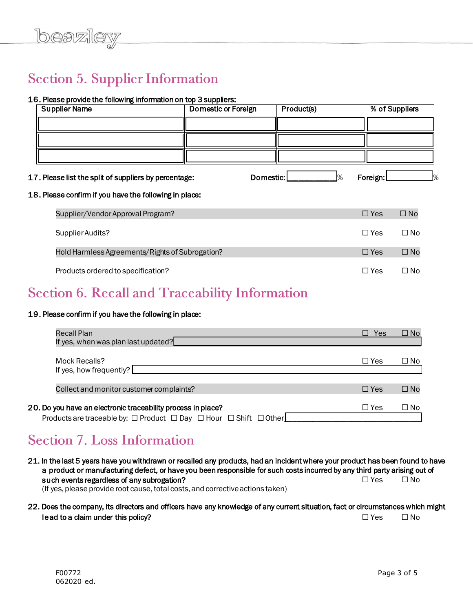# **Section 5. Supplier Information**

## 16. Please provide the following information on top 3 suppliers:

| <b>Supplier Name</b>                                   | <b>Domestic or Foreign</b> | Product(s) |               | % of Suppliers |               |
|--------------------------------------------------------|----------------------------|------------|---------------|----------------|---------------|
|                                                        |                            |            |               |                |               |
|                                                        |                            |            |               |                |               |
|                                                        |                            |            |               |                |               |
| 17. Please list the split of suppliers by percentage:  |                            | Domestic:  | $\frac{1}{2}$ | Foreign:       | $\frac{9}{6}$ |
| 18. Please confirm if you have the following in place: |                            |            |               |                |               |
| Supplier/Vendor Approval Program?                      |                            |            |               | $\Box$ Yes     | $\square$ No  |
| Supplier Audits?                                       |                            |            |               | $\Box$ Yes     | $\Box$ No     |
| Hold Harmless Agreements/Rights of Subrogation?        |                            |            |               | $\Box$ Yes     | $\square$ No  |
| Products ordered to specification?                     |                            |            |               | $\Box$ Yes     | $\square$ No  |

# **Section 6. Recall and Traceability Information**

#### 19. Please confirm if you have the following in place:

| Recall Plan<br>If yes, when was plan last updated?                                                                                                         | Yes<br>$\mathsf{L}$ | $\square$ No |
|------------------------------------------------------------------------------------------------------------------------------------------------------------|---------------------|--------------|
| Mock Recalls?<br>If yes, how frequently? $\lfloor$                                                                                                         | $\Box$ Yes          | □ No         |
| Collect and monitor customer complaints?                                                                                                                   | $\Box$ Yes          | $\square$ No |
| 20. Do you have an electronic traceability process in place?<br>Products are traceable by: $\Box$ Product $\Box$ Day $\Box$ Hour $\Box$ Shift $\Box$ Other | $\Box$ Yes          | □ No         |

# **Section 7. Loss Information**

21. In the last 5 years have you withdrawn or recalled any products, had an incident where your product has been found to have a product or manufacturing defect, or have you been responsible for such costs incurred by any third party arising out of such events regardless of any subrogation? <br>
□ Yes □ No (If yes, please provide root cause, total costs, and corrective actions taken)

### 22. Does the company, its directors and officers have any knowledge of any current situation, fact or circumstances which might lead to a claim under this policy?  $\Box$  Yes  $\Box$  No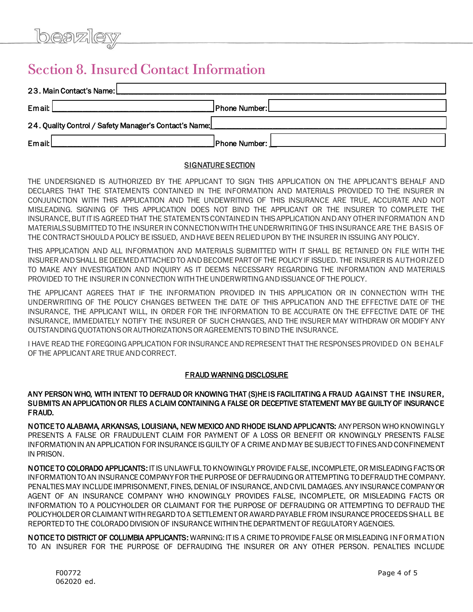# **Section 8. Insured Contact Information**

| 23. Main Contact's Name:                               |               |  |
|--------------------------------------------------------|---------------|--|
| Email:                                                 | Phone Number: |  |
| 24. Quality Control / Safety Manager's Contact's Name: |               |  |
| Email:                                                 | Phone Number: |  |

#### SIGNATURE SECTION

THE UNDERSIGNED IS AUTHORIZED BY THE APPLICANT TO SIGN THIS APPLICATION ON THE APPLICANT'S BEHALF AND DECLARES THAT THE STATEMENTS CONTAINED IN THE INFORMATION AND MATERIALS PROVIDED TO THE INSURER IN CONJUNCTION WITH THIS APPLICATION AND THE UNDEWRITING OF THIS INSURANCE ARE TRUE, ACCURATE AND NOT MISLEADING. SIGNING OF THIS APPLICATION DOES NOT BIND THE APPLICANT OR THE INSURER TO COMPLETE THE INSURANCE, BUT IT IS AGREED THAT THE STATEMENTS CONTAINED IN THIS APPLICATION AND ANY OTHER INFORMATION AND MATERIALS SUBMITTED TO THE INSURER IN CONNECTION WITH THE UNDERWRITING OF THIS INSURANCE ARE THE BASIS OF THE CONTRACT SHOULD A POLICY BE ISSUED, AND HAVE BEEN RELIED UPON BY THE INSURER IN ISSUING ANY POLICY.

THIS APPLICATION AND ALL INFORMATION AND MATERIALS SUBMITTED WITH IT SHALL BE RETAINED ON FILE WITH THE INSURER AND SHALL BE DEEMED ATTACHED TO AND BECOME PART OF THE POLICY IF ISSUED. THE INSURER IS AUTHORIZED TO MAKE ANY INVESTIGATION AND INQUIRY AS IT DEEMS NECESSARY REGARDING THE INFORMATION AND MATERIALS PROVIDED TO THE INSURER IN CONNECTION WITH THE UNDERWRITING AND ISSUANCE OF THE POLICY.

THE APPLICANT AGREES THAT IF THE INFORMATION PROVIDED IN THIS APPLICATION OR IN CONNECTION WITH THE UNDERWRITING OF THE POLICY CHANGES BETWEEN THE DATE OF THIS APPLICATION AND THE EFFECTIVE DATE OF THE INSURANCE, THE APPLICANT WILL, IN ORDER FOR THE INFORMATION TO BE ACCURATE ON THE EFFECTIVE DATE OF THE INSURANCE, IMMEDIATELY NOTIFY THE INSURER OF SUCH CHANGES, AND THE INSURER MAY WITHDRAW OR MODIFY ANY OUTSTANDING QUOTATIONS OR AUTHORIZATIONS OR AGREEMENTS TO BIND THE INSURANCE.

I HAVE READ THE FOREGOING APPLICATION FOR INSURANCE AND REPRESENT THAT THE RESPONSES PROVIDED ON BEHALF OF THE APPLICANT ARE TRUE AND CORRECT.

#### FRAUD WARNING DISCLOSURE

ANY PERSON WHO, WITH INTENT TO DEFRAUD OR KNOWING THAT (S)HE IS FACILITATING A FRAUD AGAINST T HE INSURER, SUBMITS AN APPLICATION OR FILES A CLAIM CONTAINING A FALSE OR DECEPTIVE STATEMENT MAY BE GUILTY OF INSURANCE FRAUD.

NOTICE TO ALABAMA, ARKANSAS, LOUISIANA, NEW MEXICO AND RHODE ISLAND APPLICANTS: ANY PERSON WHO KNOWINGLY PRESENTS A FALSE OR FRAUDULENT CLAIM FOR PAYMENT OF A LOSS OR BENEFIT OR KNOWINGLY PRESENTS FALSE INFORMATION IN AN APPLICATION FOR INSURANCE IS GUILTY OF A CRIME AND MAY BE SUBJECT TO FINES AND CONFINEMENT IN PRISON.

NOTICE TO COLORADO APPLICANTS: IT IS UNLAWFUL TO KNOWINGLY PROVIDE FALSE, INCOMPLETE, OR MISLEADING FACTS OR INFORMATION TO AN INSURANCE COMPANY FOR THE PURPOSE OF DEFRAUDING OR ATTEMPTING TO DEFRAUD THE COMPANY. PENALTIES MAY INCLUDE IMPRISONMENT, FINES, DENIAL OF INSURANCE, AND CIVIL DAMAGES. ANY INSURANCE COMPANY OR AGENT OF AN INSURANCE COMPANY WHO KNOWINGLY PROVIDES FALSE, INCOMPLETE, OR MISLEADING FACTS OR INFORMATION TO A POLICYHOLDER OR CLAIMANT FOR THE PURPOSE OF DEFRAUDING OR ATTEMPTING TO DEFRAUD THE POLICYHOLDER OR CLAIMANT WITH REGARD TO A SETTLEMENT OR AWARD PAYABLE FROM INSURANCE PROCEEDS SHALL BE REPORTED TO THE COLORADO DIVISION OF INSURANCE WITHIN THE DEPARTMENT OF REGULATORY AGENCIES.

NOTICE TO DISTRICT OF COLUMBIA APPLICANTS: WARNING: IT IS A CRIME TO PROVIDE FALSE OR MISLEADING INFORMATION TO AN INSURER FOR THE PURPOSE OF DEFRAUDING THE INSURER OR ANY OTHER PERSON. PENALTIES INCLUDE